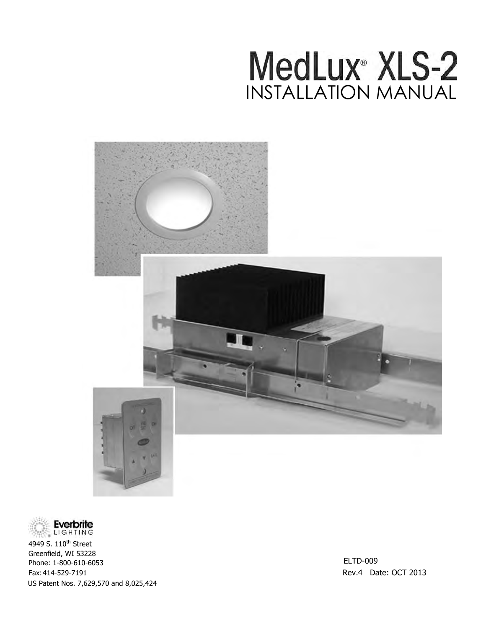# MedLux<sup>®</sup> XLS-2 INSTALLATION MANUAL





4949 S. 110<sup>th</sup> Street Greenfield, WI 53228 Phone: 1-800-610-6053 Fax: 414-529-7191 Rev.4 Date: OCT 2013 US Patent Nos. 7,629,570 and 8,025,424

ELTD-009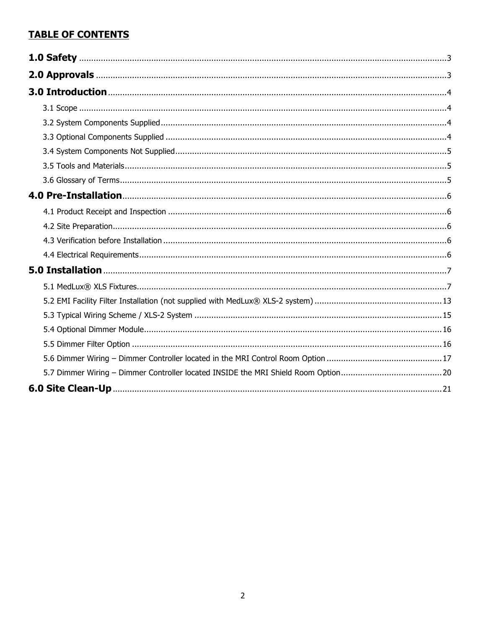# **TABLE OF CONTENTS**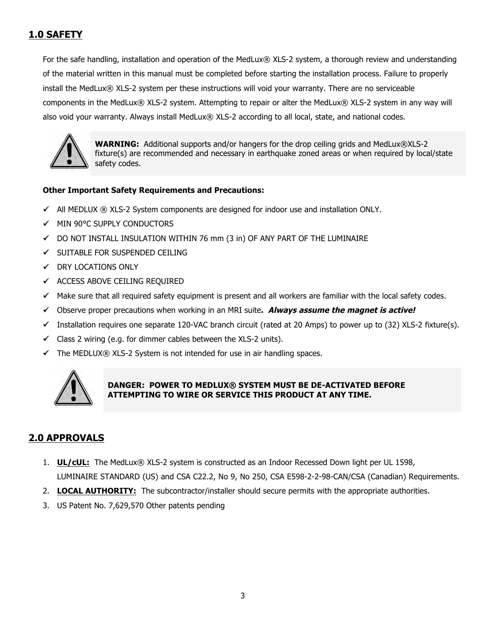# **1.0 SAFETY**

For the safe handling, installation and operation of the MedLux® XLS-2 system, a thorough review and understanding of the material written in this manual must be completed before starting the installation process. Failure to properly install the MedLux® XLS-2 system per these instructions will void your warranty. There are no serviceable components in the MedLux® XLS-2 system. Attempting to repair or alter the MedLux® XLS-2 system in any way will also void your warranty. Always install MedLux® XLS-2 according to all local, state, and national codes.



**WARNING:** Additional supports and/or hangers for the drop ceiling grids and MedLux®XLS-2 fixture(s) are recommended and necessary in earthquake zoned areas or when required by local/state safety codes.

### **Other Important Safety Requirements and Precautions:**

- All MEDLUX ® XLS-2 System components are designed for indoor use and installation ONLY.
- $\checkmark$  MIN 90°C SUPPLY CONDUCTORS
- $\checkmark$  DO NOT INSTALL INSULATION WITHIN 76 mm (3 in) OF ANY PART OF THE LUMINAIRE
- $\checkmark$  SUITABLE FOR SUSPENDED CEILING
- $\checkmark$  DRY LOCATIONS ONLY
- $\checkmark$  ACCESS ABOVE CEILING REQUIRED
- $\checkmark$  Make sure that all required safety equipment is present and all workers are familiar with the local safety codes.
- Observe proper precautions when working in an MRI suite**. Always assume the magnet is active!**
- Installation requires one separate 120-VAC branch circuit (rated at 20 Amps) to power up to (32) XLS-2 fixture(s).
- $\checkmark$  Class 2 wiring (e.g. for dimmer cables between the XLS-2 units).
- $\checkmark$  The MEDLUX® XLS-2 System is not intended for use in air handling spaces.



# **DANGER: POWER TO MEDLUX® SYSTEM MUST BE DE-ACTIVATED BEFORE ATTEMPTING TO WIRE OR SERVICE THIS PRODUCT AT ANY TIME.**

# **2.0 APPROVALS**

- 1. **UL/cUL:** The MedLux® XLS-2 system is constructed as an Indoor Recessed Down light per UL 1598, LUMINAIRE STANDARD (US) and CSA C22.2, No 9, No 250, CSA E598-2-2-98-CAN/CSA (Canadian) Requirements.
- 2. **LOCAL AUTHORITY:** The subcontractor/installer should secure permits with the appropriate authorities.
- 3. US Patent No. 7,629,570 Other patents pending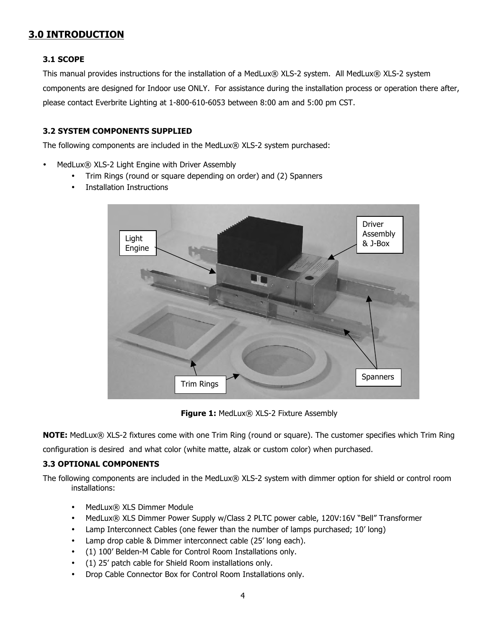# **3.0 INTRODUCTION**

#### **3.1 SCOPE**

This manual provides instructions for the installation of a MedLux® XLS-2 system. All MedLux® XLS-2 system components are designed for Indoor use ONLY. For assistance during the installation process or operation there after, please contact Everbrite Lighting at 1-800-610-6053 between 8:00 am and 5:00 pm CST.

### **3.2 SYSTEM COMPONENTS SUPPLIED**

The following components are included in the MedLux® XLS-2 system purchased:

- MedLux® XLS-2 Light Engine with Driver Assembly
	- Trim Rings (round or square depending on order) and (2) Spanners
	- Installation Instructions



**Figure 1:** MedLux® XLS-2 Fixture Assembly

**NOTE:** MedLux® XLS-2 fixtures come with one Trim Ring (round or square). The customer specifies which Trim Ring configuration is desired and what color (white matte, alzak or custom color) when purchased.

#### **3.3 OPTIONAL COMPONENTS**

The following components are included in the MedLux® XLS-2 system with dimmer option for shield or control room installations:

- MedLux® XLS Dimmer Module
- MedLux® XLS Dimmer Power Supply w/Class 2 PLTC power cable, 120V:16V "Bell" Transformer
- Lamp Interconnect Cables (one fewer than the number of lamps purchased; 10' long)
- Lamp drop cable & Dimmer interconnect cable (25' long each).
- (1) 100' Belden-M Cable for Control Room Installations only.
- (1) 25' patch cable for Shield Room installations only.
- Drop Cable Connector Box for Control Room Installations only.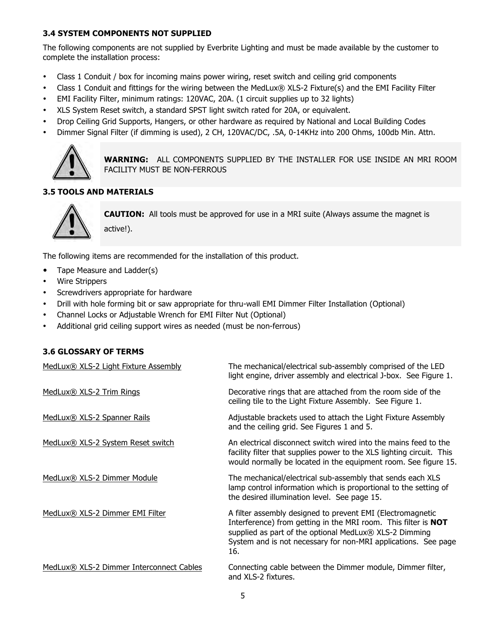## **3.4 SYSTEM COMPONENTS NOT SUPPLIED**

The following components are not supplied by Everbrite Lighting and must be made available by the customer to complete the installation process:

- Class 1 Conduit / box for incoming mains power wiring, reset switch and ceiling grid components
- Class 1 Conduit and fittings for the wiring between the MedLux® XLS-2 Fixture(s) and the EMI Facility Filter
- EMI Facility Filter, minimum ratings: 120VAC, 20A. (1 circuit supplies up to 32 lights)
- XLS System Reset switch, a standard SPST light switch rated for 20A, or equivalent.
- Drop Ceiling Grid Supports, Hangers, or other hardware as required by National and Local Building Codes
- Dimmer Signal Filter (if dimming is used), 2 CH, 120VAC/DC, .5A, 0-14KHz into 200 Ohms, 100db Min. Attn.



**WARNING:** ALL COMPONENTS SUPPLIED BY THE INSTALLER FOR USE INSIDE AN MRI ROOM FACILITY MUST BE NON-FERROUS

# **3.5 TOOLS AND MATERIALS**



**CAUTION:** All tools must be approved for use in a MRI suite (Always assume the magnet is active!).

The following items are recommended for the installation of this product.

- Tape Measure and Ladder(s)
- Wire Strippers
- Screwdrivers appropriate for hardware
- Drill with hole forming bit or saw appropriate for thru-wall EMI Dimmer Filter Installation (Optional)
- Channel Locks or Adjustable Wrench for EMI Filter Nut (Optional)
- Additional grid ceiling support wires as needed (must be non-ferrous)

#### **3.6 GLOSSARY OF TERMS**

| MedLux® XLS-2 Light Fixture Assembly     | The mechanical/electrical sub-assembly comprised of the LED<br>light engine, driver assembly and electrical J-box. See Figure 1.                                                                                                                                       |
|------------------------------------------|------------------------------------------------------------------------------------------------------------------------------------------------------------------------------------------------------------------------------------------------------------------------|
| MedLux® XLS-2 Trim Rings                 | Decorative rings that are attached from the room side of the<br>ceiling tile to the Light Fixture Assembly. See Figure 1.                                                                                                                                              |
| MedLux® XLS-2 Spanner Rails              | Adjustable brackets used to attach the Light Fixture Assembly<br>and the ceiling grid. See Figures 1 and 5.                                                                                                                                                            |
| MedLux® XLS-2 System Reset switch        | An electrical disconnect switch wired into the mains feed to the<br>facility filter that supplies power to the XLS lighting circuit. This<br>would normally be located in the equipment room. See figure 15.                                                           |
| MedLux® XLS-2 Dimmer Module              | The mechanical/electrical sub-assembly that sends each XLS<br>lamp control information which is proportional to the setting of<br>the desired illumination level. See page 15.                                                                                         |
| MedLux® XLS-2 Dimmer EMI Filter          | A filter assembly designed to prevent EMI (Electromagnetic<br>Interference) from getting in the MRI room. This filter is <b>NOT</b><br>supplied as part of the optional MedLux® XLS-2 Dimming<br>System and is not necessary for non-MRI applications. See page<br>16. |
| MedLux® XLS-2 Dimmer Interconnect Cables | Connecting cable between the Dimmer module, Dimmer filter,<br>and XLS-2 fixtures.                                                                                                                                                                                      |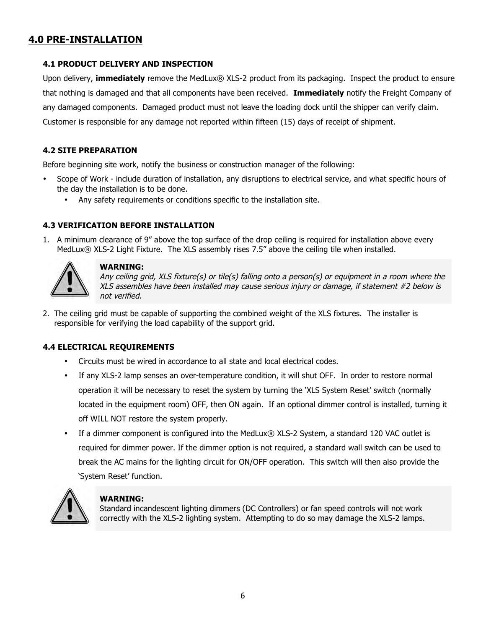# **4.0 PRE-INSTALLATION**

## **4.1 PRODUCT DELIVERY AND INSPECTION**

Upon delivery, **immediately** remove the MedLux® XLS-2 product from its packaging. Inspect the product to ensure that nothing is damaged and that all components have been received. **Immediately** notify the Freight Company of any damaged components. Damaged product must not leave the loading dock until the shipper can verify claim. Customer is responsible for any damage not reported within fifteen (15) days of receipt of shipment.

### **4.2 SITE PREPARATION**

Before beginning site work, notify the business or construction manager of the following:

- Scope of Work include duration of installation, any disruptions to electrical service, and what specific hours of the day the installation is to be done.
	- Any safety requirements or conditions specific to the installation site.

### **4.3 VERIFICATION BEFORE INSTALLATION**

1. A minimum clearance of 9" above the top surface of the drop ceiling is required for installation above every MedLux® XLS-2 Light Fixture. The XLS assembly rises 7.5" above the ceiling tile when installed.



#### **WARNING:**

Any ceiling grid, XLS fixture(s) or tile(s) falling onto a person(s) or equipment in a room where the XLS assembles have been installed may cause serious injury or damage, if statement #2 below is not verified.

2. The ceiling grid must be capable of supporting the combined weight of the XLS fixtures. The installer is responsible for verifying the load capability of the support grid.

# **4.4 ELECTRICAL REQUIREMENTS**

- Circuits must be wired in accordance to all state and local electrical codes.
- If any XLS-2 lamp senses an over-temperature condition, it will shut OFF. In order to restore normal operation it will be necessary to reset the system by turning the 'XLS System Reset' switch (normally located in the equipment room) OFF, then ON again. If an optional dimmer control is installed, turning it off WILL NOT restore the system properly.
- If a dimmer component is configured into the MedLux® XLS-2 System, a standard 120 VAC outlet is required for dimmer power. If the dimmer option is not required, a standard wall switch can be used to break the AC mains for the lighting circuit for ON/OFF operation. This switch will then also provide the 'System Reset' function.



#### **WARNING:**

Standard incandescent lighting dimmers (DC Controllers) or fan speed controls will not work correctly with the XLS-2 lighting system. Attempting to do so may damage the XLS-2 lamps.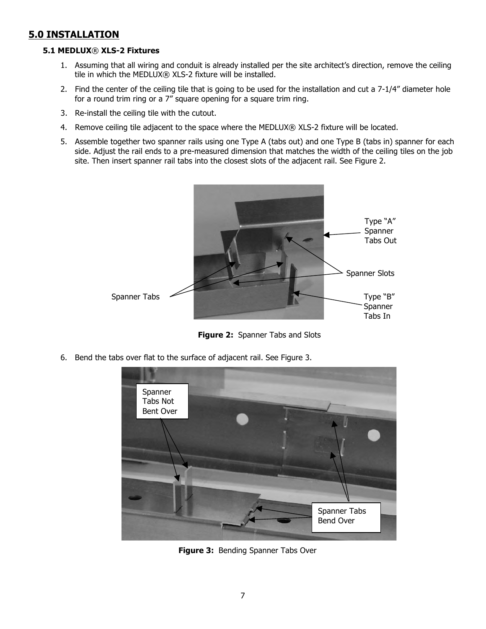# **5.0 INSTALLATION**

#### **5.1 MEDLUX**® **XLS-2 Fixtures**

- 1. Assuming that all wiring and conduit is already installed per the site architect's direction, remove the ceiling tile in which the MEDLUX® XLS-2 fixture will be installed.
- 2. Find the center of the ceiling tile that is going to be used for the installation and cut a 7-1/4" diameter hole for a round trim ring or a 7" square opening for a square trim ring.
- 3. Re-install the ceiling tile with the cutout.
- 4. Remove ceiling tile adjacent to the space where the MEDLUX® XLS-2 fixture will be located.
- 5. Assemble together two spanner rails using one Type A (tabs out) and one Type B (tabs in) spanner for each side. Adjust the rail ends to a pre-measured dimension that matches the width of the ceiling tiles on the job site. Then insert spanner rail tabs into the closest slots of the adjacent rail. See Figure 2.



**Figure 2:** Spanner Tabs and Slots

6. Bend the tabs over flat to the surface of adjacent rail. See Figure 3.



**Figure 3:** Bending Spanner Tabs Over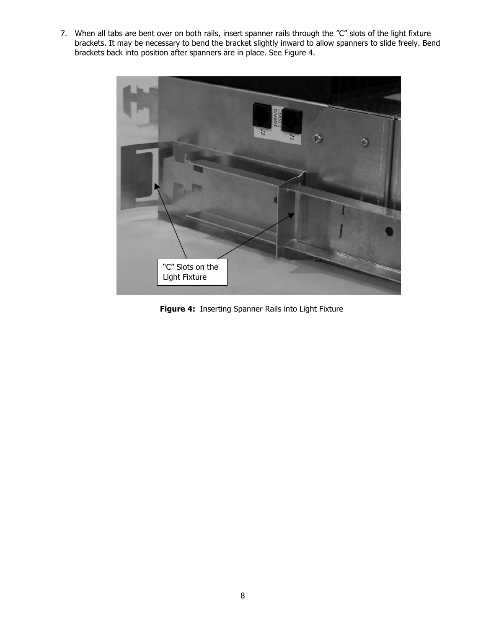7. When all tabs are bent over on both rails, insert spanner rails through the "C" slots of the light fixture brackets. It may be necessary to bend the bracket slightly inward to allow spanners to slide freely. Bend brackets back into position after spanners are in place. See Figure 4.



**Figure 4:** Inserting Spanner Rails into Light Fixture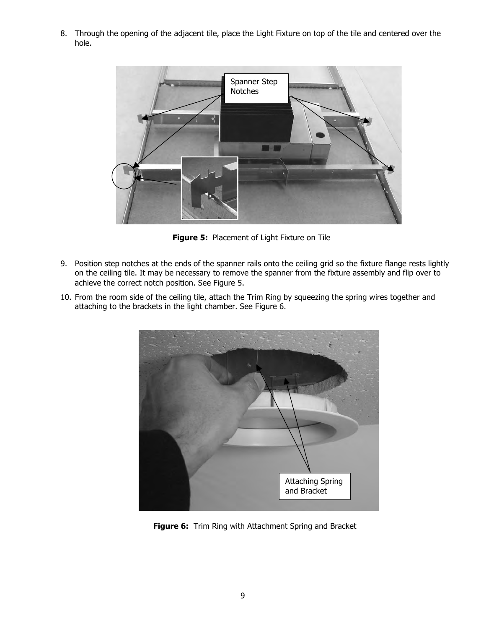8. Through the opening of the adjacent tile, place the Light Fixture on top of the tile and centered over the hole.



**Figure 5:** Placement of Light Fixture on Tile

- 9. Position step notches at the ends of the spanner rails onto the ceiling grid so the fixture flange rests lightly on the ceiling tile. It may be necessary to remove the spanner from the fixture assembly and flip over to achieve the correct notch position. See Figure 5.
- 10. From the room side of the ceiling tile, attach the Trim Ring by squeezing the spring wires together and attaching to the brackets in the light chamber. See Figure 6.



**Figure 6:** Trim Ring with Attachment Spring and Bracket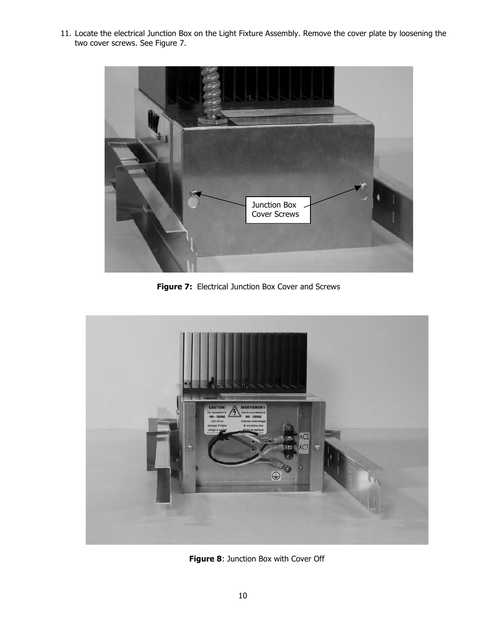11. Locate the electrical Junction Box on the Light Fixture Assembly. Remove the cover plate by loosening the two cover screws. See Figure 7.



**Figure 7:** Electrical Junction Box Cover and Screws



**Figure 8**: Junction Box with Cover Off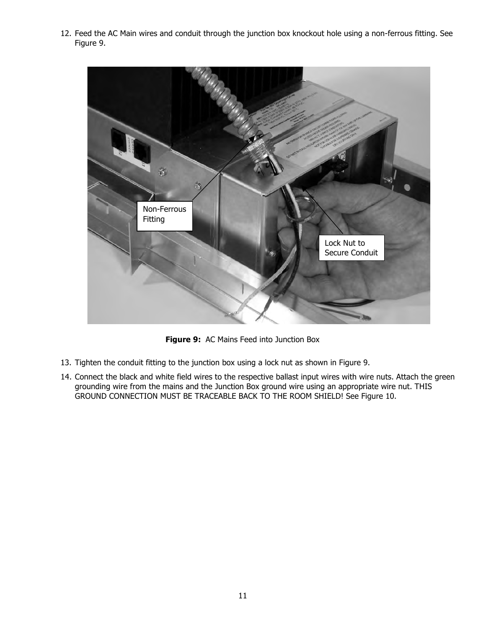12. Feed the AC Main wires and conduit through the junction box knockout hole using a non-ferrous fitting. See Figure 9.



**Figure 9:** AC Mains Feed into Junction Box

- 13. Tighten the conduit fitting to the junction box using a lock nut as shown in Figure 9.
- 14. Connect the black and white field wires to the respective ballast input wires with wire nuts. Attach the green grounding wire from the mains and the Junction Box ground wire using an appropriate wire nut. THIS GROUND CONNECTION MUST BE TRACEABLE BACK TO THE ROOM SHIELD! See Figure 10.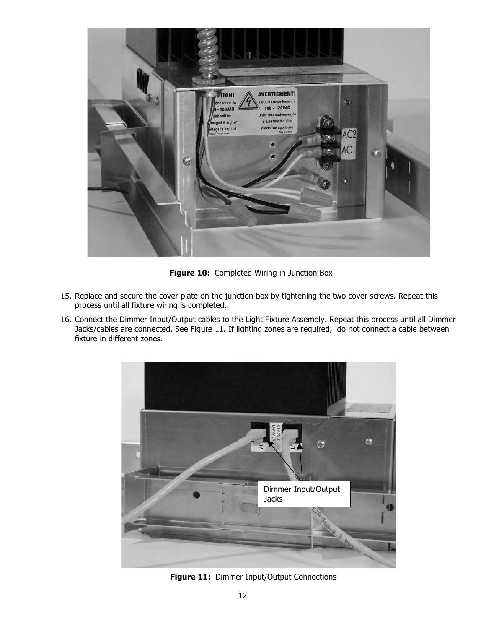

**Figure 10:** Completed Wiring in Junction Box

- 15. Replace and secure the cover plate on the junction box by tightening the two cover screws. Repeat this process until all fixture wiring is completed.
- 16. Connect the Dimmer Input/Output cables to the Light Fixture Assembly. Repeat this process until all Dimmer Jacks/cables are connected. See Figure 11. If lighting zones are required, do not connect a cable between fixture in different zones.



**Figure 11:** Dimmer Input/Output Connections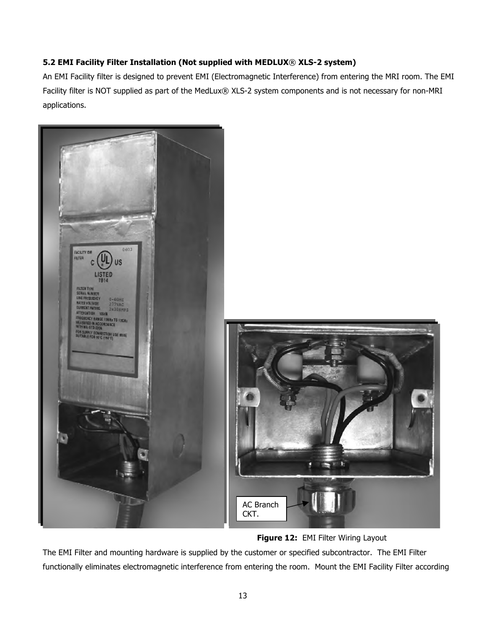# **5.2 EMI Facility Filter Installation (Not supplied with MEDLUX**® **XLS-2 system)**

An EMI Facility filter is designed to prevent EMI (Electromagnetic Interference) from entering the MRI room. The EMI Facility filter is NOT supplied as part of the MedLux® XLS-2 system components and is not necessary for non-MRI applications.



**Figure 12: EMI Filter Wiring Layout** 

The EMI Filter and mounting hardware is supplied by the customer or specified subcontractor. The EMI Filter functionally eliminates electromagnetic interference from entering the room. Mount the EMI Facility Filter according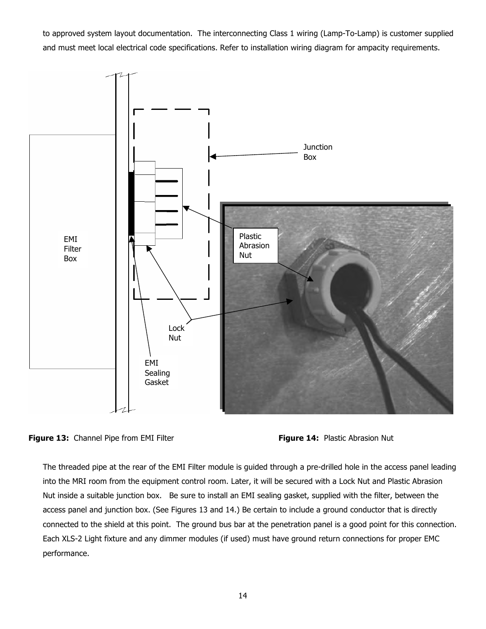to approved system layout documentation. The interconnecting Class 1 wiring (Lamp-To-Lamp) is customer supplied and must meet local electrical code specifications. Refer to installation wiring diagram for ampacity requirements.





The threaded pipe at the rear of the EMI Filter module is guided through a pre-drilled hole in the access panel leading into the MRI room from the equipment control room. Later, it will be secured with a Lock Nut and Plastic Abrasion Nut inside a suitable junction box. Be sure to install an EMI sealing gasket, supplied with the filter, between the access panel and junction box. (See Figures 13 and 14.) Be certain to include a ground conductor that is directly connected to the shield at this point. The ground bus bar at the penetration panel is a good point for this connection. Each XLS-2 Light fixture and any dimmer modules (if used) must have ground return connections for proper EMC performance.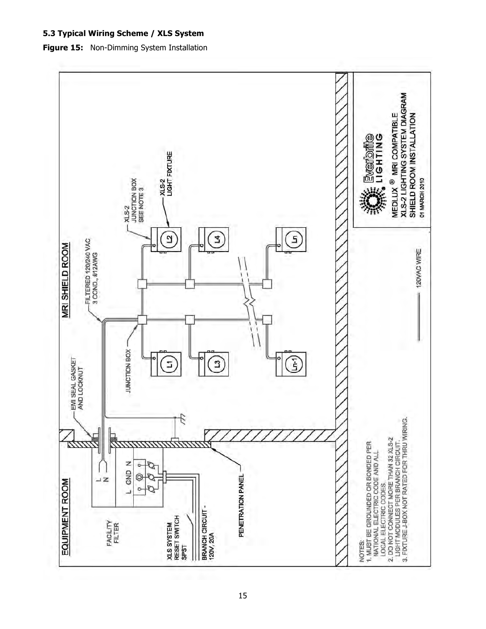## **5.3 Typical Wiring Scheme / XLS System**

**Figure 15:** Non-Dimming System Installation

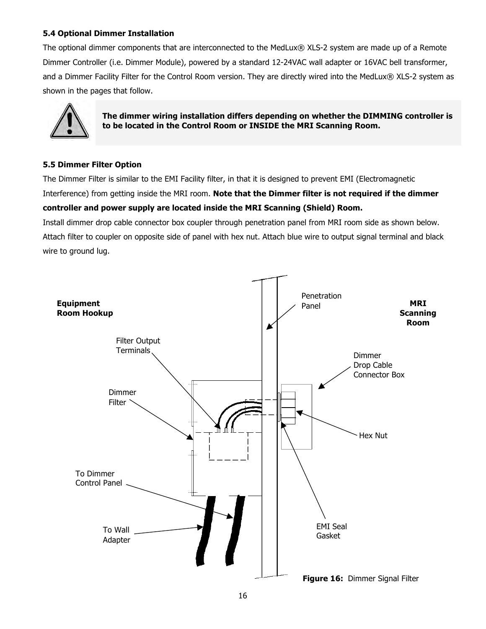# **5.4 Optional Dimmer Installation**

The optional dimmer components that are interconnected to the MedLux® XLS-2 system are made up of a Remote Dimmer Controller (i.e. Dimmer Module), powered by a standard 12-24VAC wall adapter or 16VAC bell transformer, and a Dimmer Facility Filter for the Control Room version. They are directly wired into the MedLux® XLS-2 system as shown in the pages that follow.



**The dimmer wiring installation differs depending on whether the DIMMING controller is to be located in the Control Room or INSIDE the MRI Scanning Room.**

# **5.5 Dimmer Filter Option**

The Dimmer Filter is similar to the EMI Facility filter, in that it is designed to prevent EMI (Electromagnetic Interference) from getting inside the MRI room. **Note that the Dimmer filter is not required if the dimmer controller and power supply are located inside the MRI Scanning (Shield) Room.**

Install dimmer drop cable connector box coupler through penetration panel from MRI room side as shown below. Attach filter to coupler on opposite side of panel with hex nut. Attach blue wire to output signal terminal and black wire to ground lug.

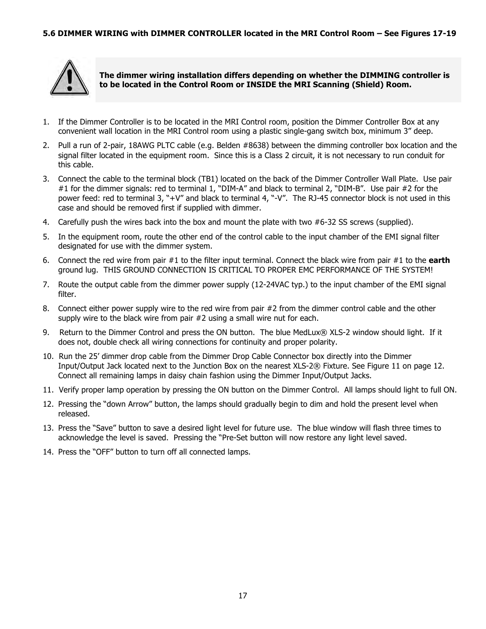

**The dimmer wiring installation differs depending on whether the DIMMING controller is to be located in the Control Room or INSIDE the MRI Scanning (Shield) Room.**

- 1. If the Dimmer Controller is to be located in the MRI Control room, position the Dimmer Controller Box at any convenient wall location in the MRI Control room using a plastic single-gang switch box, minimum 3" deep.
- 2. Pull a run of 2-pair, 18AWG PLTC cable (e.g. Belden #8638) between the dimming controller box location and the signal filter located in the equipment room. Since this is a Class 2 circuit, it is not necessary to run conduit for this cable.
- 3. Connect the cable to the terminal block (TB1) located on the back of the Dimmer Controller Wall Plate. Use pair #1 for the dimmer signals: red to terminal 1, "DIM-A" and black to terminal 2, "DIM-B". Use pair #2 for the power feed: red to terminal 3, "+V" and black to terminal 4, "-V". The RJ-45 connector block is not used in this case and should be removed first if supplied with dimmer.
- 4. Carefully push the wires back into the box and mount the plate with two #6-32 SS screws (supplied).
- 5. In the equipment room, route the other end of the control cable to the input chamber of the EMI signal filter designated for use with the dimmer system.
- 6. Connect the red wire from pair #1 to the filter input terminal. Connect the black wire from pair #1 to the **earth** ground lug. THIS GROUND CONNECTION IS CRITICAL TO PROPER EMC PERFORMANCE OF THE SYSTEM!
- 7. Route the output cable from the dimmer power supply (12-24VAC typ.) to the input chamber of the EMI signal filter.
- 8. Connect either power supply wire to the red wire from pair #2 from the dimmer control cable and the other supply wire to the black wire from pair #2 using a small wire nut for each.
- 9. Return to the Dimmer Control and press the ON button. The blue MedLux® XLS-2 window should light. If it does not, double check all wiring connections for continuity and proper polarity.
- 10. Run the 25' dimmer drop cable from the Dimmer Drop Cable Connector box directly into the Dimmer Input/Output Jack located next to the Junction Box on the nearest XLS-2® Fixture. See Figure 11 on page 12. Connect all remaining lamps in daisy chain fashion using the Dimmer Input/Output Jacks.
- 11. Verify proper lamp operation by pressing the ON button on the Dimmer Control. All lamps should light to full ON.
- 12. Pressing the "down Arrow" button, the lamps should gradually begin to dim and hold the present level when released.
- 13. Press the "Save" button to save a desired light level for future use. The blue window will flash three times to acknowledge the level is saved. Pressing the "Pre-Set button will now restore any light level saved.
- 14. Press the "OFF" button to turn off all connected lamps.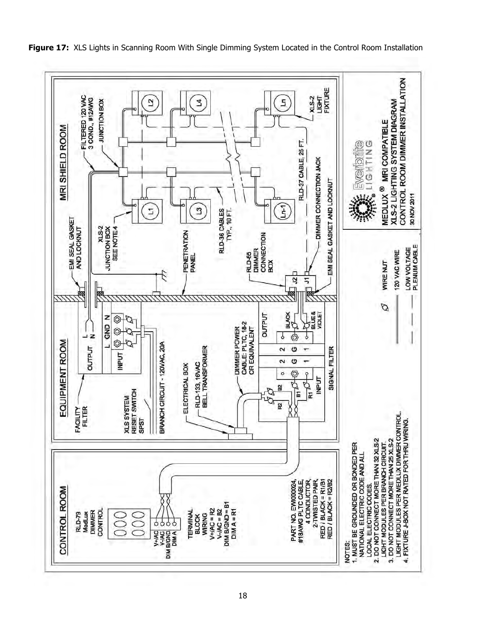

**Figure 17:** XLS Lights in Scanning Room With Single Dimming System Located in the Control Room Installation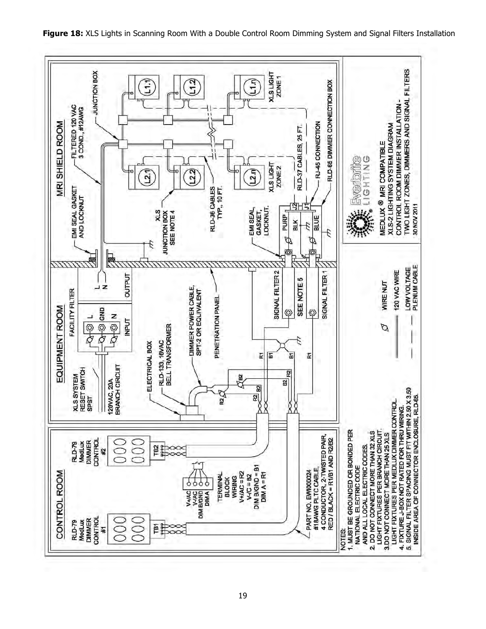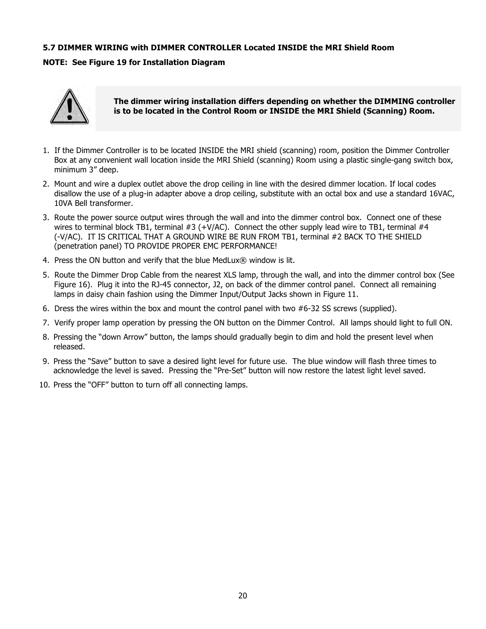### **5.7 DIMMER WIRING with DIMMER CONTROLLER Located INSIDE the MRI Shield Room**

#### **NOTE: See Figure 19 for Installation Diagram**



**The dimmer wiring installation differs depending on whether the DIMMING controller is to be located in the Control Room or INSIDE the MRI Shield (Scanning) Room.**

- 1. If the Dimmer Controller is to be located INSIDE the MRI shield (scanning) room, position the Dimmer Controller Box at any convenient wall location inside the MRI Shield (scanning) Room using a plastic single-gang switch box, minimum 3" deep.
- 2. Mount and wire a duplex outlet above the drop ceiling in line with the desired dimmer location. If local codes disallow the use of a plug-in adapter above a drop ceiling, substitute with an octal box and use a standard 16VAC, 10VA Bell transformer.
- 3. Route the power source output wires through the wall and into the dimmer control box. Connect one of these wires to terminal block TB1, terminal #3 (+V/AC). Connect the other supply lead wire to TB1, terminal #4 (-V/AC). IT IS CRITICAL THAT A GROUND WIRE BE RUN FROM TB1, terminal #2 BACK TO THE SHIELD (penetration panel) TO PROVIDE PROPER EMC PERFORMANCE!
- 4. Press the ON button and verify that the blue MedLux® window is lit.
- 5. Route the Dimmer Drop Cable from the nearest XLS lamp, through the wall, and into the dimmer control box (See Figure 16). Plug it into the RJ-45 connector, J2, on back of the dimmer control panel. Connect all remaining lamps in daisy chain fashion using the Dimmer Input/Output Jacks shown in Figure 11.
- 6. Dress the wires within the box and mount the control panel with two #6-32 SS screws (supplied).
- 7. Verify proper lamp operation by pressing the ON button on the Dimmer Control. All lamps should light to full ON.
- 8. Pressing the "down Arrow" button, the lamps should gradually begin to dim and hold the present level when released.
- 9. Press the "Save" button to save a desired light level for future use. The blue window will flash three times to acknowledge the level is saved. Pressing the "Pre-Set" button will now restore the latest light level saved.
- 10. Press the "OFF" button to turn off all connecting lamps.